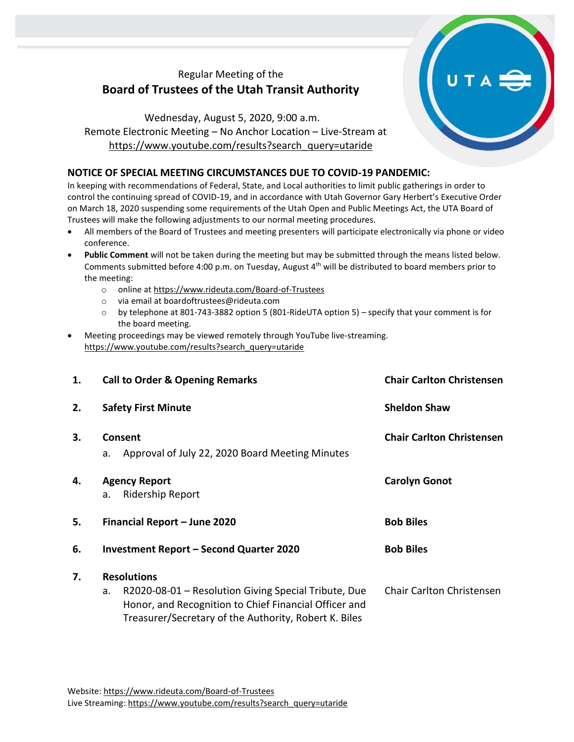## Regular Meeting of the **Board of Trustees of the Utah Transit Authority**

Wednesday, August 5, 2020, 9:00 a.m. Remote Electronic Meeting – No Anchor Location – Live-Stream at [https://www.youtube.com/results?search\\_query=utaride](https://www.youtube.com/results?search_query=utaride)

## **NOTICE OF SPECIAL MEETING CIRCUMSTANCES DUE TO COVID-19 PANDEMIC:**

In keeping with recommendations of Federal, State, and Local authorities to limit public gatherings in order to control the continuing spread of COVID-19, and in accordance with Utah Governor Gary Herbert's Executive Order on March 18, 2020 suspending some requirements of the Utah Open and Public Meetings Act, the UTA Board of Trustees will make the following adjustments to our normal meeting procedures.

- All members of the Board of Trustees and meeting presenters will participate electronically via phone or video conference.
- **Public Comment** will not be taken during the meeting but may be submitted through the means listed below. Comments submitted before 4:00 p.m. on Tuesday, August 4th will be distributed to board members prior to the meeting:
	- o online at<https://www.rideuta.com/Board-of-Trustees>
	- o via email at [boardoftrustees@rideuta.com](mailto:boardoftrustees@rideuta.com)
	- o by telephone at 801-743-3882 option 5 (801-RideUTA option 5) specify that your comment is for the board meeting.
- Meeting proceedings may be viewed remotely through YouTube live-streaming. [https://www.youtube.com/results?search\\_query=utaride](https://www.youtube.com/results?search_query=utaride)

| 1. | <b>Call to Order &amp; Opening Remarks</b>                                                                                                                                                         | <b>Chair Carlton Christensen</b> |  |
|----|----------------------------------------------------------------------------------------------------------------------------------------------------------------------------------------------------|----------------------------------|--|
| 2. | <b>Sheldon Shaw</b><br><b>Safety First Minute</b>                                                                                                                                                  |                                  |  |
| 3. | Consent<br>Approval of July 22, 2020 Board Meeting Minutes<br>a.                                                                                                                                   | <b>Chair Carlton Christensen</b> |  |
| 4. | <b>Agency Report</b><br><b>Ridership Report</b><br>a.                                                                                                                                              | <b>Carolyn Gonot</b>             |  |
| 5. | Financial Report - June 2020                                                                                                                                                                       | <b>Bob Biles</b>                 |  |
| 6. | <b>Investment Report - Second Quarter 2020</b>                                                                                                                                                     | <b>Bob Biles</b>                 |  |
| 7. | <b>Resolutions</b><br>R2020-08-01 - Resolution Giving Special Tribute, Due<br>a.<br>Honor, and Recognition to Chief Financial Officer and<br>Treasurer/Secretary of the Authority, Robert K. Biles | Chair Carlton Christensen        |  |